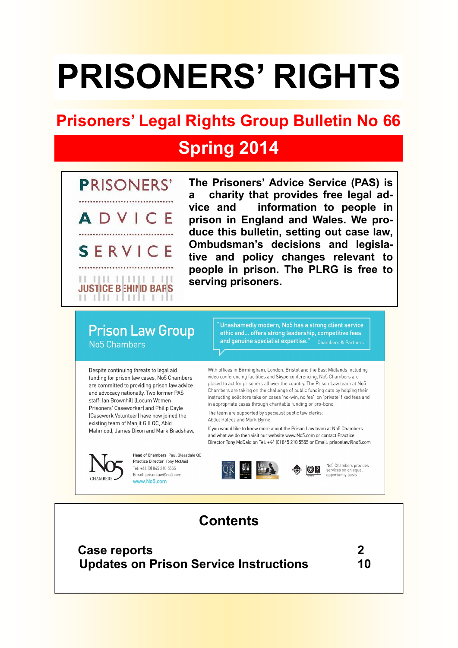# **PRISONERS' RIGHTS**

# **Prisoners' Legal Rights Group Bulletin No 66**

# **Spring 2014**



**The Prisoners' Advice Service (PAS) is a charity that provides free legal advice and information to people in prison in England and Wales. We produce this bulletin, setting out case law, Ombudsman's decisions and legislative and policy changes relevant to people in prison. The PLRG is free to serving prisoners.**

# **Prison Law Group** No<sub>5</sub> Chambers

Despite continuing threats to legal aid funding for prison law cases, No5 Chambers are committed to providing prison law advice and advocacy nationally. Two former PAS staff: Ian Brownhill (Locum Women Prisoners' Caseworker) and Philip Dayle (Casework Volunteer) have now joined the existing team of Manjit Gill QC, Abid Mahmood, James Dixon and Mark Bradshaw.



Head of Chambers, Paul Bleasdale OC Practice Director Tony McDaid Tel: +44 (0) 845 210 5555 Email: prisonlaw@no5.com

Unashamedly modern, No5 has a strong client service ethic and... offers strong leadership, competitive fees and genuine specialist expertise." Chambers & Partners

With offices in Birmingham, London, Bristol and the East Midlands including video conferencing facilities and Skype conferencing. No5 Chambers are placed to act for prisoners all over the country. The Prison Law team at No5 Chambers are taking on the challenge of public funding cuts by helping their instructing solicitors take on cases 'no-win, no fee', on 'private' fixed fees and in appropriate cases through charitable funding or pro-bono.

The team are supported by specialist public law clerks: Abdul Hafeez and Mark Byrne.

If you would like to know more about the Prison Law team at No5 Chambers and what we do then visit our website www.No5.com or contact Practice Director Tony McDaid on Tel: +44 (0) 845 210 5555 or Email: prisonlaw@no5.com





No5 Chambers provides services on an equal opportunity basis



 **Case reports 2 Updates on Prison Service Instructions 10**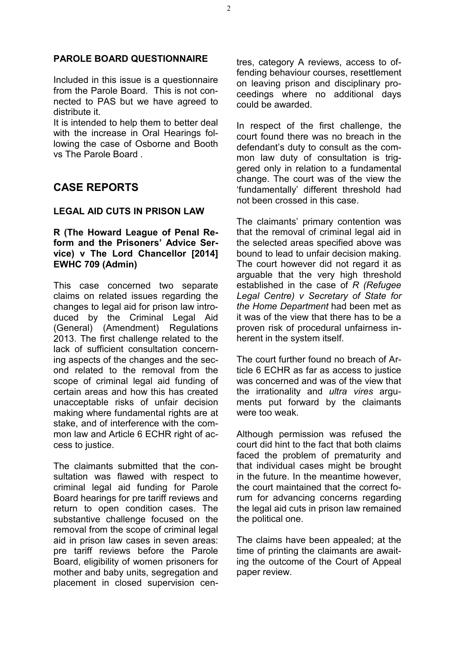#### **PAROLE BOARD QUESTIONNAIRE**

Included in this issue is a questionnaire from the Parole Board. This is not connected to PAS but we have agreed to distribute it.

It is intended to help them to better deal with the increase in Oral Hearings following the case of Osborne and Booth vs The Parole Board .

# **CASE REPORTS**

#### **LEGAL AID CUTS IN PRISON LAW**

#### **R (The Howard League of Penal Reform and the Prisoners' Advice Service) v The Lord Chancellor [2014] EWHC 709 (Admin)**

This case concerned two separate claims on related issues regarding the changes to legal aid for prison law introduced by the Criminal Legal Aid (General) (Amendment) Regulations 2013. The first challenge related to the lack of sufficient consultation concerning aspects of the changes and the second related to the removal from the scope of criminal legal aid funding of certain areas and how this has created unacceptable risks of unfair decision making where fundamental rights are at stake, and of interference with the common law and Article 6 ECHR right of access to justice.

The claimants submitted that the consultation was flawed with respect to criminal legal aid funding for Parole Board hearings for pre tariff reviews and return to open condition cases. The substantive challenge focused on the removal from the scope of criminal legal aid in prison law cases in seven areas: pre tariff reviews before the Parole Board, eligibility of women prisoners for mother and baby units, segregation and placement in closed supervision centres, category A reviews, access to offending behaviour courses, resettlement on leaving prison and disciplinary proceedings where no additional days could be awarded.

In respect of the first challenge, the court found there was no breach in the defendant's duty to consult as the common law duty of consultation is triggered only in relation to a fundamental change. The court was of the view the 'fundamentally' different threshold had not been crossed in this case.

The claimants' primary contention was that the removal of criminal legal aid in the selected areas specified above was bound to lead to unfair decision making. The court however did not regard it as arguable that the very high threshold established in the case of *R (Refugee Legal Centre) v Secretary of State for the Home Department* had been met as it was of the view that there has to be a proven risk of procedural unfairness inherent in the system itself.

The court further found no breach of Article 6 ECHR as far as access to justice was concerned and was of the view that the irrationality and *ultra vires* arguments put forward by the claimants were too weak.

Although permission was refused the court did hint to the fact that both claims faced the problem of prematurity and that individual cases might be brought in the future. In the meantime however, the court maintained that the correct forum for advancing concerns regarding the legal aid cuts in prison law remained the political one.

The claims have been appealed; at the time of printing the claimants are awaiting the outcome of the Court of Appeal paper review.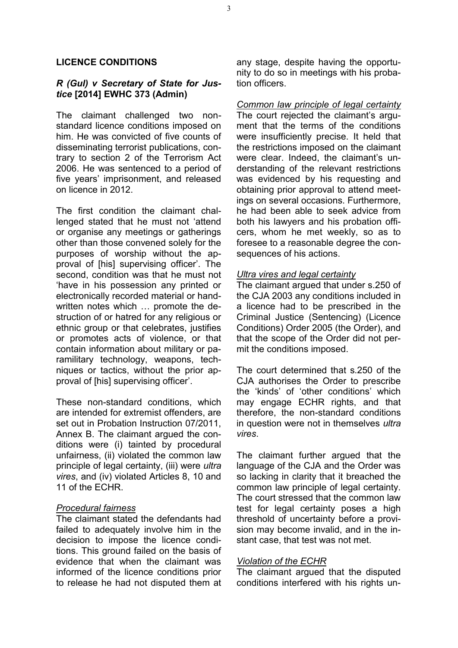#### **LICENCE CONDITIONS**

#### *R (Gul) v Secretary of State for Justice* **[2014] EWHC 373 (Admin)**

The claimant challenged two nonstandard licence conditions imposed on him. He was convicted of five counts of disseminating terrorist publications, contrary to section 2 of the Terrorism Act 2006. He was sentenced to a period of five years' imprisonment, and released on licence in 2012.

The first condition the claimant challenged stated that he must not 'attend or organise any meetings or gatherings other than those convened solely for the purposes of worship without the approval of [his] supervising officer'. The second, condition was that he must not 'have in his possession any printed or electronically recorded material or handwritten notes which … promote the destruction of or hatred for any religious or ethnic group or that celebrates, justifies or promotes acts of violence, or that contain information about military or paramilitary technology, weapons, techniques or tactics, without the prior approval of [his] supervising officer'.

These non-standard conditions, which are intended for extremist offenders, are set out in Probation Instruction 07/2011, Annex B. The claimant argued the conditions were (i) tainted by procedural unfairness, (ii) violated the common law principle of legal certainty, (iii) were *ultra vires*, and (iv) violated Articles 8, 10 and 11 of the ECHR.

#### *Procedural fairness*

The claimant stated the defendants had failed to adequately involve him in the decision to impose the licence conditions. This ground failed on the basis of evidence that when the claimant was informed of the licence conditions prior to release he had not disputed them at any stage, despite having the opportunity to do so in meetings with his probation officers.

*Common law principle of legal certainty*  The court rejected the claimant's argument that the terms of the conditions were insufficiently precise. It held that the restrictions imposed on the claimant were clear. Indeed, the claimant's understanding of the relevant restrictions was evidenced by his requesting and obtaining prior approval to attend meetings on several occasions. Furthermore, he had been able to seek advice from both his lawyers and his probation officers, whom he met weekly, so as to foresee to a reasonable degree the consequences of his actions.

#### *Ultra vires and legal certainty*

The claimant argued that under s.250 of the CJA 2003 any conditions included in a licence had to be prescribed in the Criminal Justice (Sentencing) (Licence Conditions) Order 2005 (the Order), and that the scope of the Order did not permit the conditions imposed.

The court determined that s.250 of the CJA authorises the Order to prescribe the 'kinds' of 'other conditions' which may engage ECHR rights, and that therefore, the non-standard conditions in question were not in themselves *ultra vires*.

The claimant further argued that the language of the CJA and the Order was so lacking in clarity that it breached the common law principle of legal certainty. The court stressed that the common law test for legal certainty poses a high threshold of uncertainty before a provision may become invalid, and in the instant case, that test was not met.

#### *Violation of the ECHR*

The claimant argued that the disputed conditions interfered with his rights un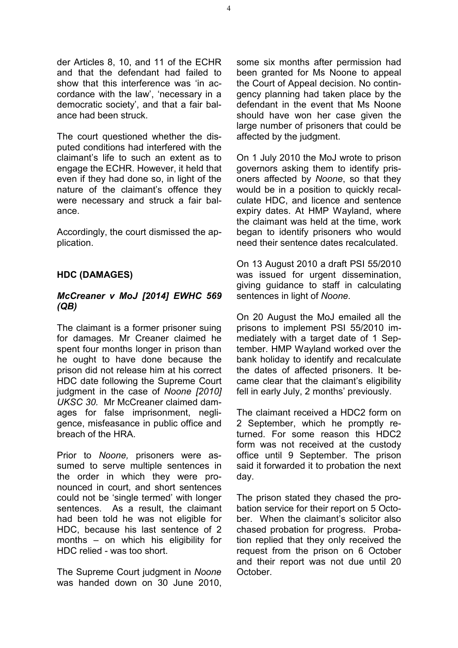der Articles 8, 10, and 11 of the ECHR and that the defendant had failed to show that this interference was 'in accordance with the law', 'necessary in a democratic society', and that a fair balance had been struck.

The court questioned whether the disputed conditions had interfered with the claimant's life to such an extent as to engage the ECHR. However, it held that even if they had done so, in light of the nature of the claimant's offence they were necessary and struck a fair balance.

Accordingly, the court dismissed the application.

## **HDC (DAMAGES)**

#### *McCreaner v MoJ [2014] EWHC 569 (QB)*

The claimant is a former prisoner suing for damages. Mr Creaner claimed he spent four months longer in prison than he ought to have done because the prison did not release him at his correct HDC date following the Supreme Court judgment in the case of *Noone [2010] UKSC 30.* Mr McCreaner claimed damages for false imprisonment, negligence, misfeasance in public office and breach of the HRA.

Prior to *Noone,* prisoners were assumed to serve multiple sentences in the order in which they were pronounced in court, and short sentences could not be 'single termed' with longer sentences. As a result, the claimant had been told he was not eligible for HDC, because his last sentence of 2 months – on which his eligibility for HDC relied - was too short.

The Supreme Court judgment in *Noone* was handed down on 30 June 2010,

some six months after permission had been granted for Ms Noone to appeal the Court of Appeal decision. No contingency planning had taken place by the defendant in the event that Ms Noone should have won her case given the large number of prisoners that could be affected by the judgment.

On 1 July 2010 the MoJ wrote to prison governors asking them to identify prisoners affected by *Noone*, so that they would be in a position to quickly recalculate HDC, and licence and sentence expiry dates. At HMP Wayland, where the claimant was held at the time, work began to identify prisoners who would need their sentence dates recalculated.

On 13 August 2010 a draft PSI 55/2010 was issued for urgent dissemination, giving guidance to staff in calculating sentences in light of *Noone*.

On 20 August the MoJ emailed all the prisons to implement PSI 55/2010 immediately with a target date of 1 September. HMP Wayland worked over the bank holiday to identify and recalculate the dates of affected prisoners. It became clear that the claimant's eligibility fell in early July, 2 months' previously.

The claimant received a HDC2 form on 2 September, which he promptly returned. For some reason this HDC2 form was not received at the custody office until 9 September. The prison said it forwarded it to probation the next day.

The prison stated they chased the probation service for their report on 5 October. When the claimant's solicitor also chased probation for progress. Probation replied that they only received the request from the prison on 6 October and their report was not due until 20 October.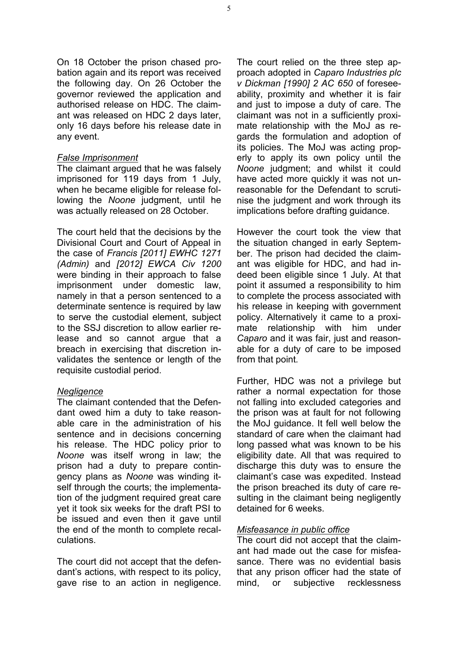On 18 October the prison chased probation again and its report was received the following day. On 26 October the governor reviewed the application and authorised release on HDC. The claimant was released on HDC 2 days later, only 16 days before his release date in any event.

#### *False Imprisonment*

The claimant argued that he was falsely imprisoned for 119 days from 1 July, when he became eligible for release following the *Noone* judgment, until he was actually released on 28 October.

The court held that the decisions by the Divisional Court and Court of Appeal in the case of *Francis [2011] EWHC 1271 (Admin)* and *[2012] EWCA Civ 1200* were binding in their approach to false imprisonment under domestic law, namely in that a person sentenced to a determinate sentence is required by law to serve the custodial element, subject to the SSJ discretion to allow earlier release and so cannot argue that a breach in exercising that discretion invalidates the sentence or length of the requisite custodial period.

#### *Negligence*

The claimant contended that the Defendant owed him a duty to take reasonable care in the administration of his sentence and in decisions concerning his release. The HDC policy prior to *Noone* was itself wrong in law; the prison had a duty to prepare contingency plans as *Noone* was winding itself through the courts; the implementation of the judgment required great care yet it took six weeks for the draft PSI to be issued and even then it gave until the end of the month to complete recalculations.

The court did not accept that the defendant's actions, with respect to its policy, gave rise to an action in negligence. The court relied on the three step approach adopted in *Caparo Industries plc v Dickman [1990] 2 AC 650* of foreseeability, proximity and whether it is fair and just to impose a duty of care. The claimant was not in a sufficiently proximate relationship with the MoJ as regards the formulation and adoption of its policies. The MoJ was acting properly to apply its own policy until the *Noone* judgment; and whilst it could have acted more quickly it was not unreasonable for the Defendant to scrutinise the judgment and work through its implications before drafting guidance.

However the court took the view that the situation changed in early September. The prison had decided the claimant was eligible for HDC, and had indeed been eligible since 1 July. At that point it assumed a responsibility to him to complete the process associated with his release in keeping with government policy. Alternatively it came to a proximate relationship with him under *Caparo* and it was fair, just and reasonable for a duty of care to be imposed from that point*.* 

Further, HDC was not a privilege but rather a normal expectation for those not falling into excluded categories and the prison was at fault for not following the MoJ guidance. It fell well below the standard of care when the claimant had long passed what was known to be his eligibility date. All that was required to discharge this duty was to ensure the claimant's case was expedited. Instead the prison breached its duty of care resulting in the claimant being negligently detained for 6 weeks.

#### *Misfeasance in public office*

The court did not accept that the claimant had made out the case for misfeasance. There was no evidential basis that any prison officer had the state of mind, or subjective recklessness

5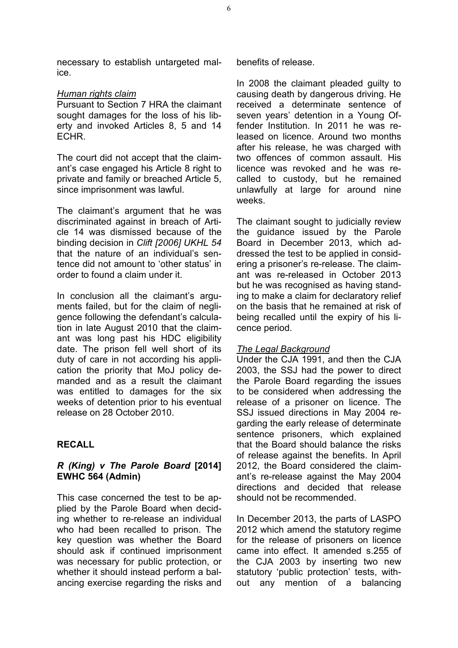necessary to establish untargeted malice.

#### *Human rights claim*

Pursuant to Section 7 HRA the claimant sought damages for the loss of his liberty and invoked Articles 8, 5 and 14 ECHR.

The court did not accept that the claimant's case engaged his Article 8 right to private and family or breached Article 5, since imprisonment was lawful.

The claimant's argument that he was discriminated against in breach of Article 14 was dismissed because of the binding decision in *Clift [2006] UKHL 54* that the nature of an individual's sentence did not amount to 'other status' in order to found a claim under it.

In conclusion all the claimant's arguments failed, but for the claim of negligence following the defendant's calculation in late August 2010 that the claimant was long past his HDC eligibility date. The prison fell well short of its duty of care in not according his application the priority that MoJ policy demanded and as a result the claimant was entitled to damages for the six weeks of detention prior to his eventual release on 28 October 2010.

### **RECALL**

#### *R (King) v The Parole Board* **[2014] EWHC 564 (Admin)**

This case concerned the test to be applied by the Parole Board when deciding whether to re-release an individual who had been recalled to prison. The key question was whether the Board should ask if continued imprisonment was necessary for public protection, or whether it should instead perform a balancing exercise regarding the risks and benefits of release.

In 2008 the claimant pleaded guilty to causing death by dangerous driving. He received a determinate sentence of seven years' detention in a Young Offender Institution. In 2011 he was released on licence. Around two months after his release, he was charged with two offences of common assault. His licence was revoked and he was recalled to custody, but he remained unlawfully at large for around nine weeks.

The claimant sought to judicially review the guidance issued by the Parole Board in December 2013, which addressed the test to be applied in considering a prisoner's re-release. The claimant was re-released in October 2013 but he was recognised as having standing to make a claim for declaratory relief on the basis that he remained at risk of being recalled until the expiry of his licence period.

#### *The Legal Background*

Under the CJA 1991, and then the CJA 2003, the SSJ had the power to direct the Parole Board regarding the issues to be considered when addressing the release of a prisoner on licence. The SSJ issued directions in May 2004 regarding the early release of determinate sentence prisoners, which explained that the Board should balance the risks of release against the benefits. In April 2012, the Board considered the claimant's re-release against the May 2004 directions and decided that release should not be recommended.

In December 2013, the parts of LASPO 2012 which amend the statutory regime for the release of prisoners on licence came into effect. It amended s.255 of the CJA 2003 by inserting two new statutory 'public protection' tests, without any mention of a balancing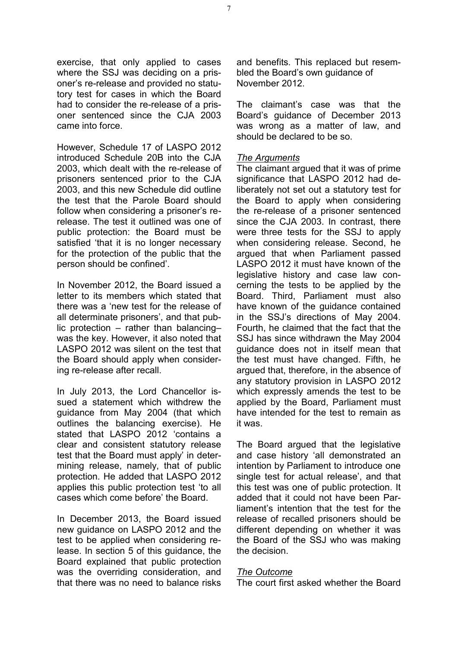exercise, that only applied to cases where the SSJ was deciding on a prisoner's re-release and provided no statutory test for cases in which the Board had to consider the re-release of a prisoner sentenced since the CJA 2003 came into force.

However, Schedule 17 of LASPO 2012 introduced Schedule 20B into the CJA 2003, which dealt with the re-release of prisoners sentenced prior to the CJA 2003, and this new Schedule did outline the test that the Parole Board should follow when considering a prisoner's rerelease. The test it outlined was one of public protection: the Board must be satisfied 'that it is no longer necessary for the protection of the public that the person should be confined'.

In November 2012, the Board issued a letter to its members which stated that there was a 'new test for the release of all determinate prisoners', and that public protection – rather than balancing– was the key. However, it also noted that LASPO 2012 was silent on the test that the Board should apply when considering re-release after recall.

In July 2013, the Lord Chancellor issued a statement which withdrew the guidance from May 2004 (that which outlines the balancing exercise). He stated that LASPO 2012 'contains a clear and consistent statutory release test that the Board must apply' in determining release, namely, that of public protection. He added that LASPO 2012 applies this public protection test 'to all cases which come before' the Board.

In December 2013, the Board issued new guidance on LASPO 2012 and the test to be applied when considering release. In section 5 of this guidance, the Board explained that public protection was the overriding consideration, and that there was no need to balance risks and benefits. This replaced but resembled the Board's own guidance of November 2012.

The claimant's case was that the Board's guidance of December 2013 was wrong as a matter of law, and should be declared to be so.

#### *The Arguments*

The claimant argued that it was of prime significance that LASPO 2012 had deliberately not set out a statutory test for the Board to apply when considering the re-release of a prisoner sentenced since the CJA 2003. In contrast, there were three tests for the SSJ to apply when considering release. Second, he argued that when Parliament passed LASPO 2012 it must have known of the legislative history and case law concerning the tests to be applied by the Board. Third, Parliament must also have known of the guidance contained in the SSJ's directions of May 2004. Fourth, he claimed that the fact that the SSJ has since withdrawn the May 2004 guidance does not in itself mean that the test must have changed. Fifth, he argued that, therefore, in the absence of any statutory provision in LASPO 2012 which expressly amends the test to be applied by the Board, Parliament must have intended for the test to remain as it was.

The Board argued that the legislative and case history 'all demonstrated an intention by Parliament to introduce one single test for actual release', and that this test was one of public protection. It added that it could not have been Parliament's intention that the test for the release of recalled prisoners should be different depending on whether it was the Board of the SSJ who was making the decision.

#### *The Outcome*

The court first asked whether the Board

7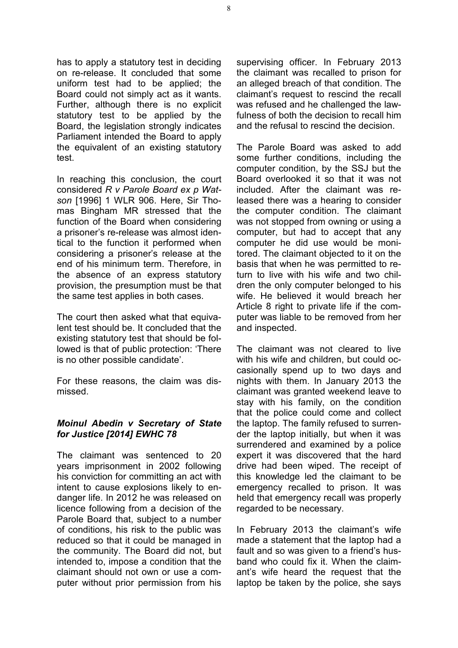has to apply a statutory test in deciding on re-release. It concluded that some uniform test had to be applied; the Board could not simply act as it wants. Further, although there is no explicit statutory test to be applied by the Board, the legislation strongly indicates Parliament intended the Board to apply the equivalent of an existing statutory test.

In reaching this conclusion, the court considered *R v Parole Board ex p Watson* [1996] 1 WLR 906. Here, Sir Thomas Bingham MR stressed that the function of the Board when considering a prisoner's re-release was almost identical to the function it performed when considering a prisoner's release at the end of his minimum term. Therefore, in the absence of an express statutory provision, the presumption must be that the same test applies in both cases.

The court then asked what that equivalent test should be. It concluded that the existing statutory test that should be followed is that of public protection: 'There is no other possible candidate'.

For these reasons, the claim was dismissed.

#### *Moinul Abedin v Secretary of State for Justice [2014] EWHC 78*

The claimant was sentenced to 20 years imprisonment in 2002 following his conviction for committing an act with intent to cause explosions likely to endanger life. In 2012 he was released on licence following from a decision of the Parole Board that, subject to a number of conditions, his risk to the public was reduced so that it could be managed in the community. The Board did not, but intended to, impose a condition that the claimant should not own or use a computer without prior permission from his supervising officer. In February 2013 the claimant was recalled to prison for an alleged breach of that condition. The claimant's request to rescind the recall was refused and he challenged the lawfulness of both the decision to recall him and the refusal to rescind the decision.

The Parole Board was asked to add some further conditions, including the computer condition, by the SSJ but the Board overlooked it so that it was not included. After the claimant was released there was a hearing to consider the computer condition. The claimant was not stopped from owning or using a computer, but had to accept that any computer he did use would be monitored. The claimant objected to it on the basis that when he was permitted to return to live with his wife and two children the only computer belonged to his wife. He believed it would breach her Article 8 right to private life if the computer was liable to be removed from her and inspected.

The claimant was not cleared to live with his wife and children, but could occasionally spend up to two days and nights with them. In January 2013 the claimant was granted weekend leave to stay with his family, on the condition that the police could come and collect the laptop. The family refused to surrender the laptop initially, but when it was surrendered and examined by a police expert it was discovered that the hard drive had been wiped. The receipt of this knowledge led the claimant to be emergency recalled to prison. It was held that emergency recall was properly regarded to be necessary.

In February 2013 the claimant's wife made a statement that the laptop had a fault and so was given to a friend's husband who could fix it. When the claimant's wife heard the request that the laptop be taken by the police, she says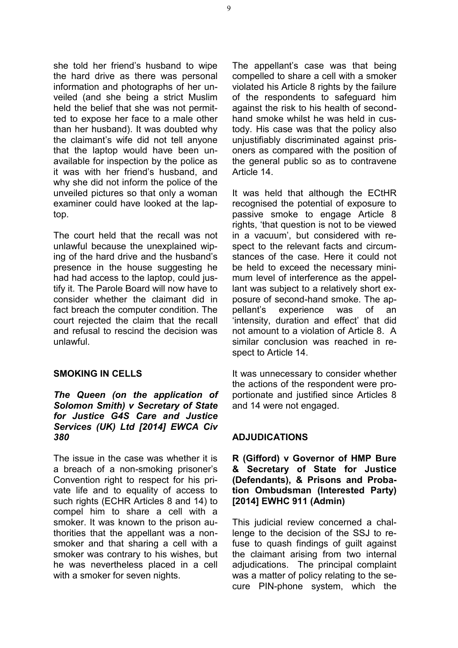she told her friend's husband to wipe the hard drive as there was personal information and photographs of her unveiled (and she being a strict Muslim held the belief that she was not permitted to expose her face to a male other than her husband). It was doubted why the claimant's wife did not tell anyone that the laptop would have been unavailable for inspection by the police as it was with her friend's husband, and why she did not inform the police of the unveiled pictures so that only a woman examiner could have looked at the laptop.

The court held that the recall was not unlawful because the unexplained wiping of the hard drive and the husband's presence in the house suggesting he had had access to the laptop, could justify it. The Parole Board will now have to consider whether the claimant did in fact breach the computer condition. The court rejected the claim that the recall and refusal to rescind the decision was unlawful.

#### **SMOKING IN CELLS**

#### *The Queen (on the application of Solomon Smith) v Secretary of State for Justice G4S Care and Justice Services (UK) Ltd [2014] EWCA Civ 380*

The issue in the case was whether it is a breach of a non-smoking prisoner's Convention right to respect for his private life and to equality of access to such rights (ECHR Articles 8 and 14) to compel him to share a cell with a smoker. It was known to the prison authorities that the appellant was a nonsmoker and that sharing a cell with a smoker was contrary to his wishes, but he was nevertheless placed in a cell with a smoker for seven nights.

The appellant's case was that being compelled to share a cell with a smoker violated his Article 8 rights by the failure of the respondents to safeguard him against the risk to his health of secondhand smoke whilst he was held in custody. His case was that the policy also unjustifiably discriminated against prisoners as compared with the position of the general public so as to contravene Article 14.

It was held that although the ECtHR recognised the potential of exposure to passive smoke to engage Article 8 rights, 'that question is not to be viewed in a vacuum', but considered with respect to the relevant facts and circumstances of the case. Here it could not be held to exceed the necessary minimum level of interference as the appellant was subject to a relatively short exposure of second-hand smoke. The appellant's experience was of an 'intensity, duration and effect' that did not amount to a violation of Article 8. A similar conclusion was reached in respect to Article 14.

It was unnecessary to consider whether the actions of the respondent were proportionate and justified since Articles 8 and 14 were not engaged.

#### **ADJUDICATIONS**

#### **R (Gifford) v Governor of HMP Bure & Secretary of State for Justice (Defendants), & Prisons and Probation Ombudsman (Interested Party) [2014] EWHC 911 (Admin)**

This judicial review concerned a challenge to the decision of the SSJ to refuse to quash findings of guilt against the claimant arising from two internal adjudications. The principal complaint was a matter of policy relating to the secure PIN-phone system, which the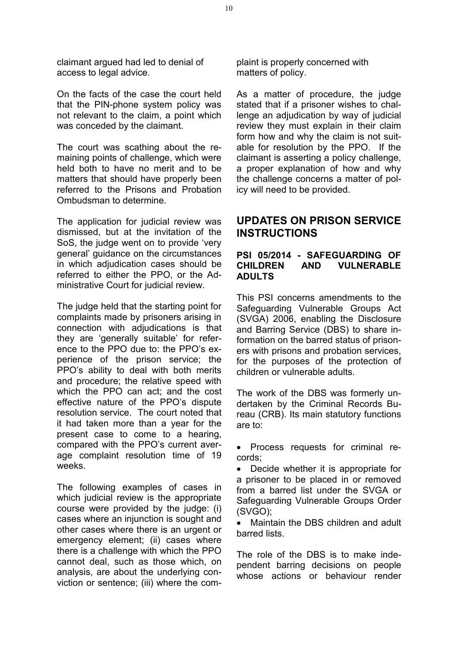claimant argued had led to denial of access to legal advice.

On the facts of the case the court held that the PIN-phone system policy was not relevant to the claim, a point which was conceded by the claimant.

The court was scathing about the remaining points of challenge, which were held both to have no merit and to be matters that should have properly been referred to the Prisons and Probation Ombudsman to determine.

The application for judicial review was dismissed, but at the invitation of the SoS, the judge went on to provide 'very general' guidance on the circumstances in which adjudication cases should be referred to either the PPO, or the Administrative Court for judicial review.

The judge held that the starting point for complaints made by prisoners arising in connection with adjudications is that they are 'generally suitable' for reference to the PPO due to: the PPO's experience of the prison service; the PPO's ability to deal with both merits and procedure; the relative speed with which the PPO can act; and the cost effective nature of the PPO's dispute resolution service. The court noted that it had taken more than a year for the present case to come to a hearing, compared with the PPO's current average complaint resolution time of 19 weeks.

The following examples of cases in which judicial review is the appropriate course were provided by the judge: (i) cases where an injunction is sought and other cases where there is an urgent or emergency element; (ii) cases where there is a challenge with which the PPO cannot deal, such as those which, on analysis, are about the underlying conviction or sentence; (iii) where the complaint is properly concerned with matters of policy.

As a matter of procedure, the judge stated that if a prisoner wishes to challenge an adjudication by way of judicial review they must explain in their claim form how and why the claim is not suitable for resolution by the PPO. If the claimant is asserting a policy challenge, a proper explanation of how and why the challenge concerns a matter of policy will need to be provided.

## **UPDATES ON PRISON SERVICE INSTRUCTIONS**

#### **PSI 05/2014 - SAFEGUARDING OF CHILDREN AND VULNERABLE ADULTS**

This PSI concerns amendments to the Safeguarding Vulnerable Groups Act (SVGA) 2006, enabling the Disclosure and Barring Service (DBS) to share information on the barred status of prisoners with prisons and probation services, for the purposes of the protection of children or vulnerable adults.

The work of the DBS was formerly undertaken by the Criminal Records Bureau (CRB). Its main statutory functions are to:

 Process requests for criminal records;

• Decide whether it is appropriate for a prisoner to be placed in or removed from a barred list under the SVGA or Safeguarding Vulnerable Groups Order (SVGO);

• Maintain the DBS children and adult barred lists.

The role of the DBS is to make independent barring decisions on people whose actions or behaviour render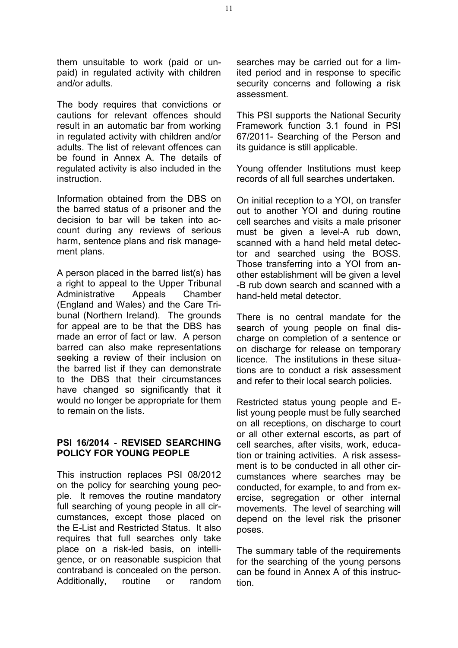them unsuitable to work (paid or unpaid) in regulated activity with children and/or adults.

The body requires that convictions or cautions for relevant offences should result in an automatic bar from working in regulated activity with children and/or adults. The list of relevant offences can be found in Annex A. The details of regulated activity is also included in the instruction.

Information obtained from the DBS on the barred status of a prisoner and the decision to bar will be taken into account during any reviews of serious harm, sentence plans and risk management plans.

A person placed in the barred list(s) has a right to appeal to the Upper Tribunal Administrative Appeals Chamber (England and Wales) and the Care Tribunal (Northern Ireland). The grounds for appeal are to be that the DBS has made an error of fact or law. A person barred can also make representations seeking a review of their inclusion on the barred list if they can demonstrate to the DBS that their circumstances have changed so significantly that it would no longer be appropriate for them to remain on the lists.

#### **PSI 16/2014 - REVISED SEARCHING POLICY FOR YOUNG PEOPLE**

This instruction replaces PSI 08/2012 on the policy for searching young people. It removes the routine mandatory full searching of young people in all circumstances, except those placed on the E-List and Restricted Status. It also requires that full searches only take place on a risk-led basis, on intelligence, or on reasonable suspicion that contraband is concealed on the person. Additionally, routine or random

searches may be carried out for a limited period and in response to specific security concerns and following a risk assessment.

This PSI supports the National Security Framework function 3.1 found in PSI 67/2011- Searching of the Person and its guidance is still applicable.

Young offender Institutions must keep records of all full searches undertaken.

On initial reception to a YOI, on transfer out to another YOI and during routine cell searches and visits a male prisoner must be given a level-A rub down. scanned with a hand held metal detector and searched using the BOSS. Those transferring into a YOI from another establishment will be given a level -B rub down search and scanned with a hand-held metal detector.

There is no central mandate for the search of young people on final discharge on completion of a sentence or on discharge for release on temporary licence. The institutions in these situations are to conduct a risk assessment and refer to their local search policies.

Restricted status young people and Elist young people must be fully searched on all receptions, on discharge to court or all other external escorts, as part of cell searches, after visits, work, education or training activities. A risk assessment is to be conducted in all other circumstances where searches may be conducted, for example, to and from exercise, segregation or other internal movements. The level of searching will depend on the level risk the prisoner poses.

The summary table of the requirements for the searching of the young persons can be found in Annex A of this instruction.